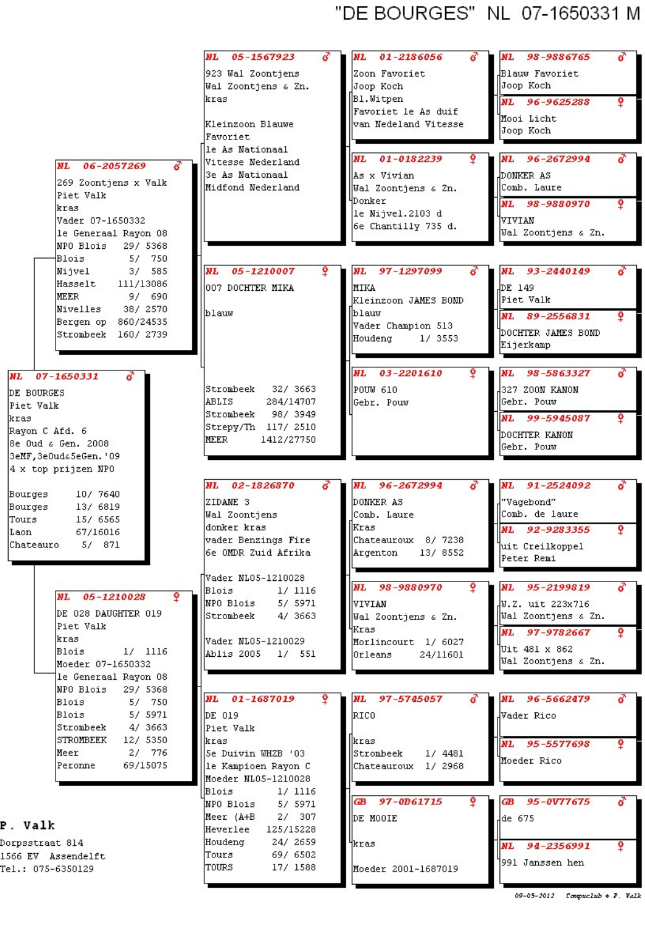## "DE BOURGES" NL 07-1650331 M

|                                            | 05-1567923<br>NL                             | 01-2186056<br>NL                            | 98-9886765<br><b>NL</b>      |
|--------------------------------------------|----------------------------------------------|---------------------------------------------|------------------------------|
|                                            | 923 Wal Zoontjens<br>Wal Zoontjens & Zn.     | Zoon Favoriet<br>Joop Koch                  | Blauw Favoriet<br>Joop Koch  |
|                                            | kras                                         | Bl. Witpen                                  | NL 96-9625288<br>Ŷ.          |
|                                            | Kleinzoon Blauwe                             | Favoriet le As duif<br>van Nedeland Vitesse | Mooi Licht                   |
|                                            | Favoriet                                     |                                             | Joop Koch                    |
|                                            | le As Nationaal                              | NL 01-0182239                               | NL 96-2672994                |
| NL.<br>06-2057269                          | Vitesse Nederland<br>3e As Nationaal         | As x Vivian                                 | DONKER AS                    |
| 269 Zoontjens x Valk                       | Midfond Nederland                            | Wal Zoontjens & Zn.                         | Comb. Laure                  |
| Piet Valk                                  |                                              | HDonker                                     | NL 98-9880970                |
| kras<br>Vader 07-1650332                   |                                              | le Nijvel.2103 d                            | NIVIAN                       |
| le Generaal Rayon 08                       |                                              | 6e Chantilly 735 d.                         | Wal Zoontjens & Zn.          |
| NPO Blois<br>29/ 5368                      |                                              |                                             |                              |
| 750<br>Blois<br>5/<br>3/585                | 05-1210007<br><b>NL</b>                      | 97-1297099<br><b>NL</b>                     | 93-2440149                   |
| Nijvel<br>Hasselt<br>111/13086             |                                              |                                             | NL                           |
| <b>MEER</b><br>9/690                       | 007 DOCHTER MIKA                             | MIKA<br>Kleinzoon JAMES BOND                | JDE 149<br><b>Piet Valk</b>  |
| 38/ 2570<br>Nivelles                       | blauw                                        | blauw                                       | NL 89-2556831                |
| Bergen op<br>860/24535                     |                                              | Vader Champion 513                          | DOCHTER JAMES BOND           |
| Strombeek<br>160/2739                      |                                              | Houdeng<br>1/3553                           | Eijerkamp                    |
|                                            |                                              |                                             |                              |
| NL 07-1650331                              |                                              | <b>NL</b><br>03-2201610                     | 98-5863327<br>NL             |
| DE BOURGES                                 | Strombeek<br>32/ 3663                        | POUW 610                                    | 327 ZOON KANON               |
| Piet Valk                                  | ABLIS<br>284/14707                           | Gebr. Pouw                                  | Gebr. Pouw                   |
| kras                                       | 98/ 3949<br>Strombeek<br>Strepy/Th 117/ 2510 |                                             | NL 99-5945087                |
| Rayon C Afd. 6<br>8e Oud & Gen. 2008       | <b>MEER</b><br>1412/27750                    |                                             | DOCHTER KANON                |
| 3eMF, 3e0ud&5eGen. '09                     |                                              |                                             | Gebr. Pouw                   |
| 4 x top prijzen NPO                        |                                              |                                             |                              |
|                                            | 02-1826870<br>NL                             | NL<br>96-2672994                            | NL 91-2524092                |
| 10/ 7640<br>Bourges<br>Bourges<br>13/ 6819 | ZIDANE 3                                     | DOMKER AS                                   | "Vagebond"                   |
| Tours<br>15/ 6565                          | Wal Zoontjens                                | Comb. Laure                                 | Comb. de laure               |
| 67/16016<br>Laon                           | donker kras                                  | Kras                                        | NL 92-9283355                |
| 5/ 871<br>Chateauro                        | vader Benzings Fire<br>6e OMDR Zuid Afrika   | Chateauroux 8/ 7238<br>Argenton<br>13/8552  | uit Creilkoppel              |
|                                            |                                              |                                             | Peter Remi                   |
|                                            | Tvader NL05-1210028                          | NL 98-9880970                               | 95-2199819<br>NL             |
| ۰<br>05-1210028<br><b>NL</b>               | Blois<br>1/1116<br>NPO Blois<br>5/ 5971      | VIVIAN                                      | JU.Z. uit 223x716            |
| DE 028 DAUGHTER 019                        | Strombeek<br>4/ 3663                         | Wal Zoontjens & Zn.                         | Wal Zoontjens & Zn.          |
| Piet Valk                                  |                                              | Kras                                        | NL 97-9782667                |
| kras<br>$1/$ 1116<br>Blois                 | Vader NL05-1210029                           | Morlincourt 1/6027                          | Uit 481 x 862                |
| Moeder 07-1650332                          | Ablis 2005 1/ 551                            | Orleans<br>24/11601                         | Wal Zoontjens & Zn.          |
| le Generaal Rayon 08                       |                                              |                                             |                              |
| NPO Blois<br>29/ 5368                      | NL 01-1687019                                | NL<br>97-5745057                            | NL 1<br>96-5662479           |
| Blois<br>5/ 750<br>Blois<br>5/ 5971        | DE 019                                       | RICO                                        | Vader Rico                   |
| 4/ 3663<br>Strombeek                       | Piet Valk                                    |                                             |                              |
| STROMBEEK<br>12/ 5350                      | kras                                         | kras                                        | <b>NL</b><br>95-5577698      |
| 2/776<br>Meer                              | Se Duivin WHZB '03                           | <b>Strombeek</b><br>1/4481                  | Moeder Rico                  |
| 69/15075<br>Peronne                        | le Kampioen Rayon C<br>Moeder NL05-1210028   | Chateauroux 1/2968                          |                              |
|                                            | Blois<br>1/1116                              |                                             |                              |
|                                            | NPO Blois<br>5/ 5971                         | 97-0D61715<br><b>GB</b>                     | 95-0V77675<br>ŒВ             |
| . Valk                                     | Meer (A+B<br>2/307                           | DE MOOIE                                    | de 675                       |
| prpsstraat 814                             | 125/15228<br>Heverlee<br>Houdeng<br>24/ 2659 | 'kras                                       |                              |
| 66 EV Assendelft                           | 69/ 6502<br>Tours                            |                                             | Ŷ<br>94-2356991<br><b>NL</b> |
| el.: 075-6350129                           | TOURS<br>17/ 1588                            | Moeder 2001-1687019                         | 1991 Janssen hen             |
|                                            |                                              |                                             |                              |

| Blois            | 5/ 5971  |
|------------------|----------|
| Strombeek        | 4/ 3663  |
| <b>STROMBEEK</b> | 12/ 5350 |
| Meer             | 27 776   |
| Peronne          | 69/15075 |

## P

Do 15 Te

<sup>09-05-2012</sup> Compuclub  $\div$  P. Valk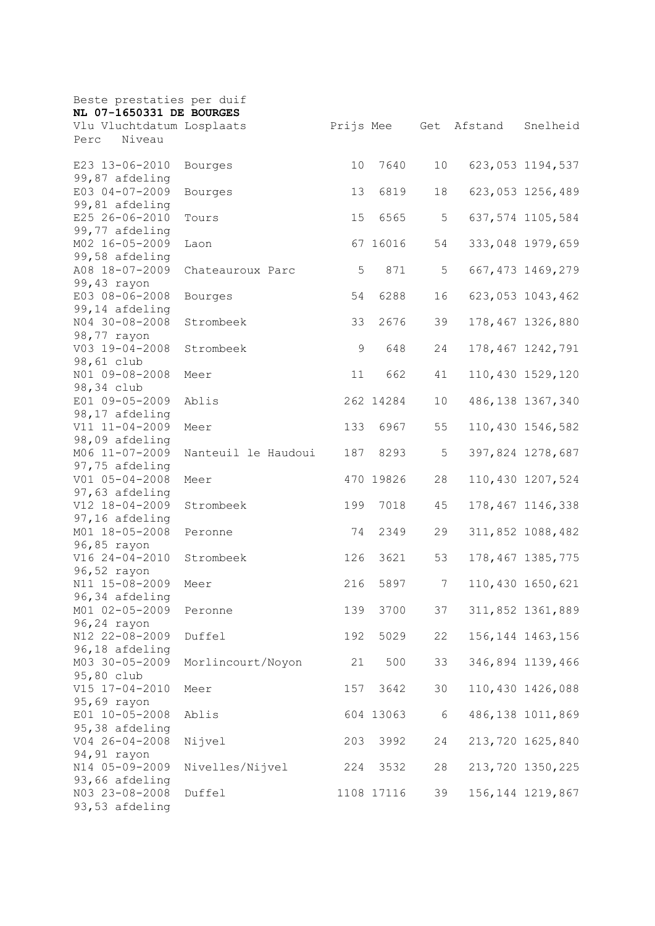| Beste prestaties per duif        |                     |     |            |                |         |                    |
|----------------------------------|---------------------|-----|------------|----------------|---------|--------------------|
| NL 07-1650331 DE BOURGES         |                     |     |            |                |         |                    |
| Vlu Vluchtdatum Losplaats        |                     |     | Prijs Mee  | Get            | Afstand | Snelheid           |
| Niveau<br>Perc                   |                     |     |            |                |         |                    |
| E23 13-06-2010                   | Bourges             | 10  | 7640       | 10             |         | 623,053 1194,537   |
| 99,87 afdeling                   |                     |     |            |                |         |                    |
| E03 04-07-2009                   | Bourges             | 13  | 6819       | 18             |         | 623,053 1256,489   |
| 99,81 afdeling                   |                     |     |            |                |         |                    |
| E25 26-06-2010                   | Tours               | 15  | 6565       | 5              |         | 637,574 1105,584   |
| 99,77 afdeling                   |                     |     |            |                |         |                    |
| M02 16-05-2009                   | Laon                |     | 67 16016   | 54             |         | 333,048 1979,659   |
| 99,58 afdeling                   |                     |     |            |                |         |                    |
| A08 18-07-2009                   | Chateauroux Parc    | 5   | 871        | 5              |         | 667, 473 1469, 279 |
| 99,43 rayon                      |                     |     |            |                |         |                    |
| E03 08-06-2008                   | Bourges             | 54  | 6288       | 16             |         | 623,053 1043,462   |
| 99,14 afdeling                   |                     |     |            |                |         |                    |
| N04 30-08-2008                   | Strombeek           | 33  | 2676       | 39             |         | 178,467 1326,880   |
| 98,77 rayon                      |                     |     |            |                |         |                    |
| V03 19-04-2008                   | Strombeek           | 9   | 648        | 24             |         | 178,467 1242,791   |
| 98,61 club                       |                     |     |            |                |         |                    |
| NO1 09-08-2008                   | Meer                | 11  | 662        | 41             |         | 110,430 1529,120   |
| 98,34 club                       |                     |     |            |                |         | 486, 138 1367, 340 |
| E01 09-05-2009                   | Ablis               |     | 262 14284  | 10             |         |                    |
| 98,17 afdeling<br>V11 11-04-2009 | Meer                | 133 | 6967       | 55             |         | 110,430 1546,582   |
| 98,09 afdeling                   |                     |     |            |                |         |                    |
| M06 11-07-2009                   | Nanteuil le Haudoui | 187 | 8293       | 5              |         | 397,824 1278,687   |
| 97,75 afdeling                   |                     |     |            |                |         |                    |
| V01 05-04-2008                   | Meer                |     | 470 19826  | 28             |         | 110,430 1207,524   |
| 97,63 afdeling                   |                     |     |            |                |         |                    |
| V12 18-04-2009                   | Strombeek           | 199 | 7018       | 45             |         | 178,467 1146,338   |
| 97,16 afdeling                   |                     |     |            |                |         |                    |
| M01 18-05-2008                   | Peronne             | 74  | 2349       | 29             |         | 311,852 1088,482   |
| 96,85 rayon                      |                     |     |            |                |         |                    |
| V16 24-04-2010                   | Strombeek           | 126 | 3621       | 53             |         | 178, 467 1385, 775 |
| 96,52 rayon                      |                     |     |            |                |         |                    |
| N11 15-08-2009                   | Meer                | 216 | 5897       | $\overline{7}$ |         | 110,430 1650,621   |
| 96,34 afdeling                   |                     |     |            |                |         |                    |
| M01 02-05-2009                   | Peronne             | 139 | 3700       | 37             |         | 311,852 1361,889   |
| 96,24 rayon                      |                     |     |            |                |         |                    |
| N12 22-08-2009                   | Duffel              | 192 | 5029       | 22             |         | 156, 144 1463, 156 |
| 96,18 afdeling                   |                     |     |            |                |         |                    |
| M03 30-05-2009                   | Morlincourt/Noyon   | 21  | 500        | 33             |         | 346,894 1139,466   |
| 95,80 club                       |                     |     | 3642       |                |         |                    |
| V15 17-04-2010<br>95,69 rayon    | Meer                | 157 |            | 30             |         | 110,430 1426,088   |
| E01 10-05-2008                   | Ablis               |     | 604 13063  | 6              |         | 486,138 1011,869   |
| 95,38 afdeling                   |                     |     |            |                |         |                    |
| V04 26-04-2008                   | Nijvel              | 203 | 3992       | 24             |         | 213,720 1625,840   |
| 94,91 rayon                      |                     |     |            |                |         |                    |
| N14 05-09-2009                   | Nivelles/Nijvel     | 224 | 3532       | 28             |         | 213,720 1350,225   |
| 93,66 afdeling                   |                     |     |            |                |         |                    |
| N03 23-08-2008                   | Duffel              |     | 1108 17116 | 39             |         | 156, 144 1219, 867 |
| 93,53 afdeling                   |                     |     |            |                |         |                    |